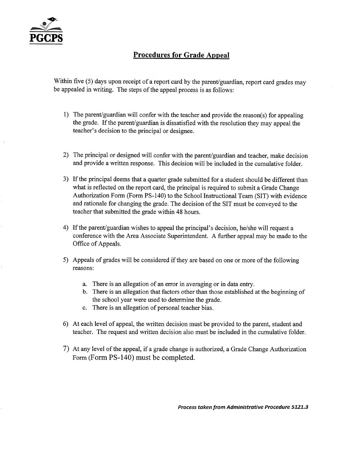

#### **Procedures for Grade Appeal**

Within five (5) days upon receipt of a report card by the parent/guardian, report card grades may be appealed in writing. The steps of the appeal process is as follows:

- 1) The parent/guardian will confer with the teacher and provide the reason(s) for appealing the grade. If the parent/guardian is dissatisfied with the resolution they may appeal the teacher's decision to the principal or designee.
- 2) The principal or designed will confer with the parent/guardian and teacher, make decision and provide a written response. This decision will be included in the cumulative folder.
- 3) If the principal deems that a quarter grade submitted for a student should be different than what is reflected on the report card, the principal is required to submit a Grade Change Authorization Form (Form PS-140) to the School Instructional Team (SIT) with evidence and rationale for changing the grade. The decision of the SIT must be conveyed to the teacher that submitted the grade within 48 hours.
- 4) If the parent/guardian wishes to appeal the principal's decision, he/she will request a conference with the Area Associate Superintendent. A further appeal may be made to the Office of Appeals.
- 5) Appeals of grades will be considered if they are based on one or more of the following reasons:
	- a. There is an allegation of an error in averaging or in data entry.
	- b. There is an allegation that factors other than those established at the beginning of the school year were used to determine the grade.
	- c. There is an allegation of personal teacher bias.
- 6) At each level of appeal, the written decision must be provided to the parent, student and teacher. The request and written decision also must be included in the cumulative folder.
- 7) At any level of the appeal, if a grade change is authorized, a Grade Change Authorization Form (Form PS-140) must be completed.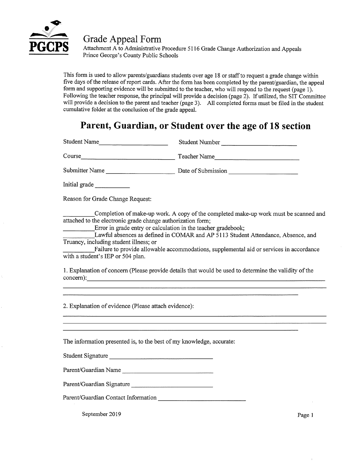

**Grade Appeal Form** 

Attachment A to Administrative Procedure 5116 Grade Change Authorization and Appeals Prince George's County Public Schools

This form is used to allow parents/guardians students over age 18 or staff to request a grade change within five days of the release of report cards. After the form has been completed by the parent/guardian, the appeal form and supporting evidence will be submitted to the teacher, who will respond to the request (page 1). Following the teacher response, the principal will provide a decision (page 2). If utilized, the SIT Committee will provide a decision to the parent and teacher (page 3). All completed forms must be filed in the student cumulative folder at the conclusion of the grade appeal.

## **Parent, Guardian, or Student over the age of 18 section**

Student Name Student Number Course Teacher Name Teacher Name Teacher Name Submitter Name Date of Submission

Initial grade

Reason for Grade Change Request:

Completion of make-up work. A copy of the completed make-up work must be scanned and attached to the electronic grade change authorization form;

Error in grade entry or calculation in the teacher gradebook;

Lawful absences as defined in COMAR and AP 5113 Student Attendance, Absence, and Truancy, including student illness; or

Failure to provide allowable accommodations, supplemental aid or services in accordance with a student's IEP or 504 plan.

1. Explanation of concern (Please provide details that would be used to determine the validity of the concern):

2. Explanation of evidence (Please attach evidence):

The information presented is, to the best of my knowledge, accurate:

Student Signature

Parent/Guardian Name

Parent/Guardian Signature

Parent/Guardian Contact Information

September 2019 Page 1